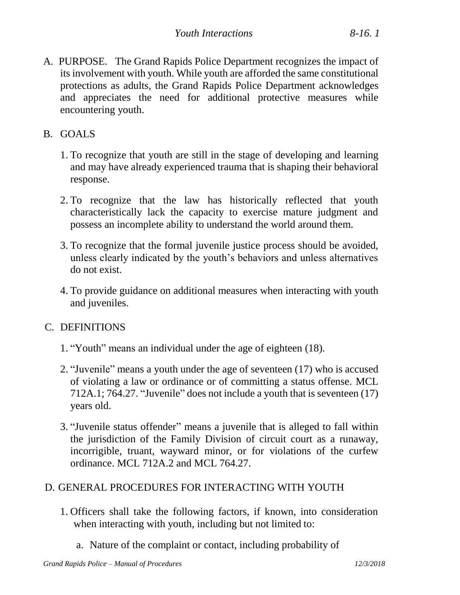- A. PURPOSE. The Grand Rapids Police Department recognizes the impact of its involvement with youth. While youth are afforded the same constitutional protections as adults, the Grand Rapids Police Department acknowledges and appreciates the need for additional protective measures while encountering youth.
- B. GOALS
	- 1. To recognize that youth are still in the stage of developing and learning and may have already experienced trauma that is shaping their behavioral response.
	- 2. To recognize that the law has historically reflected that youth characteristically lack the capacity to exercise mature judgment and possess an incomplete ability to understand the world around them.
	- 3. To recognize that the formal juvenile justice process should be avoided, unless clearly indicated by the youth's behaviors and unless alternatives do not exist.
	- 4. To provide guidance on additional measures when interacting with youth and juveniles.

## C. DEFINITIONS

- 1. "Youth" means an individual under the age of eighteen (18).
- 2. "Juvenile" means a youth under the age of seventeen (17) who is accused of violating a law or ordinance or of committing a status offense. MCL 712A.1; 764.27. "Juvenile" does not include a youth that is seventeen (17) years old.
- 3. "Juvenile status offender" means a juvenile that is alleged to fall within the jurisdiction of the Family Division of circuit court as a runaway, incorrigible, truant, wayward minor, or for violations of the curfew ordinance. MCL 712A.2 and MCL 764.27.

## D. GENERAL PROCEDURES FOR INTERACTING WITH YOUTH

- 1. Officers shall take the following factors, if known, into consideration when interacting with youth, including but not limited to:
	- a. Nature of the complaint or contact, including probability of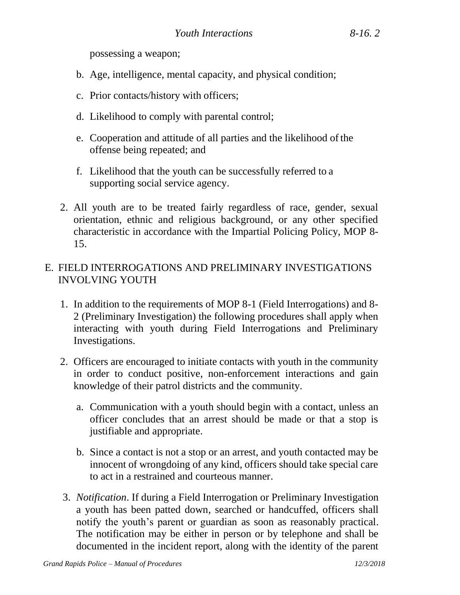possessing a weapon;

- b. Age, intelligence, mental capacity, and physical condition;
- c. Prior contacts/history with officers;
- d. Likelihood to comply with parental control;
- e. Cooperation and attitude of all parties and the likelihood ofthe offense being repeated; and
- f. Likelihood that the youth can be successfully referred to a supporting social service agency.
- 2. All youth are to be treated fairly regardless of race, gender, sexual orientation, ethnic and religious background, or any other specified characteristic in accordance with the Impartial Policing Policy, MOP 8- 15.

## E. FIELD INTERROGATIONS AND PRELIMINARY INVESTIGATIONS INVOLVING YOUTH

- 1. In addition to the requirements of MOP 8-1 (Field Interrogations) and 8- 2 (Preliminary Investigation) the following procedures shall apply when interacting with youth during Field Interrogations and Preliminary Investigations.
- 2. Officers are encouraged to initiate contacts with youth in the community in order to conduct positive, non-enforcement interactions and gain knowledge of their patrol districts and the community.
	- a. Communication with a youth should begin with a contact, unless an officer concludes that an arrest should be made or that a stop is justifiable and appropriate.
	- b. Since a contact is not a stop or an arrest, and youth contacted may be innocent of wrongdoing of any kind, officers should take special care to act in a restrained and courteous manner.
- 3. *Notification*. If during a Field Interrogation or Preliminary Investigation a youth has been patted down, searched or handcuffed, officers shall notify the youth's parent or guardian as soon as reasonably practical. The notification may be either in person or by telephone and shall be documented in the incident report, along with the identity of the parent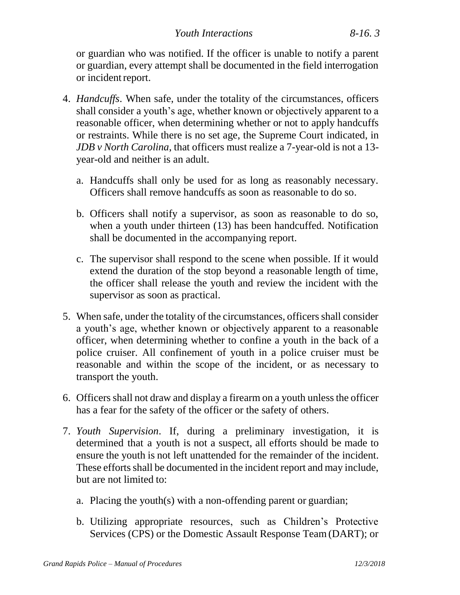or guardian who was notified. If the officer is unable to notify a parent or guardian, every attempt shall be documented in the field interrogation or incident report.

- 4. *Handcuffs*. When safe, under the totality of the circumstances, officers shall consider a youth's age, whether known or objectively apparent to a reasonable officer, when determining whether or not to apply handcuffs or restraints. While there is no set age, the Supreme Court indicated, in *JDB v North Carolina*, that officers must realize a 7-year-old is not a 13 year-old and neither is an adult.
	- a. Handcuffs shall only be used for as long as reasonably necessary. Officers shall remove handcuffs as soon as reasonable to do so.
	- b. Officers shall notify a supervisor, as soon as reasonable to do so, when a youth under thirteen (13) has been handcuffed. Notification shall be documented in the accompanying report.
	- c. The supervisor shall respond to the scene when possible. If it would extend the duration of the stop beyond a reasonable length of time, the officer shall release the youth and review the incident with the supervisor as soon as practical.
- 5. When safe, under the totality of the circumstances, officers shall consider a youth's age, whether known or objectively apparent to a reasonable officer, when determining whether to confine a youth in the back of a police cruiser. All confinement of youth in a police cruiser must be reasonable and within the scope of the incident, or as necessary to transport the youth.
- 6. Officers shall not draw and display a firearm on a youth unless the officer has a fear for the safety of the officer or the safety of others.
- 7. *Youth Supervision*. If, during a preliminary investigation, it is determined that a youth is not a suspect, all efforts should be made to ensure the youth is not left unattended for the remainder of the incident. These efforts shall be documented in the incident report and may include, but are not limited to:
	- a. Placing the youth(s) with a non-offending parent or guardian;
	- b. Utilizing appropriate resources, such as Children's Protective Services (CPS) or the Domestic Assault Response Team (DART); or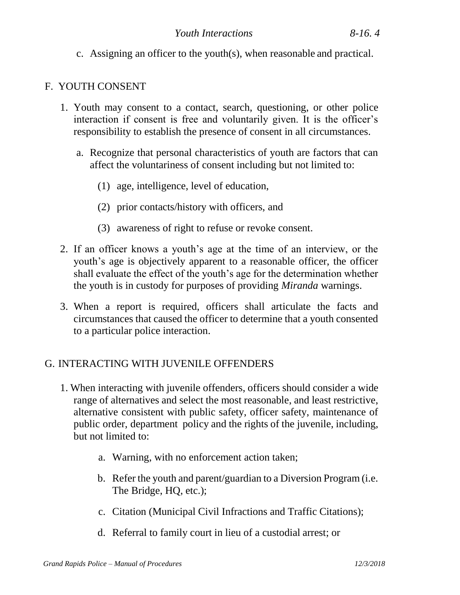c. Assigning an officer to the youth(s), when reasonable and practical.

## F. YOUTH CONSENT

- 1. Youth may consent to a contact, search, questioning, or other police interaction if consent is free and voluntarily given. It is the officer's responsibility to establish the presence of consent in all circumstances.
	- a. Recognize that personal characteristics of youth are factors that can affect the voluntariness of consent including but not limited to:
		- (1) age, intelligence, level of education,
		- (2) prior contacts/history with officers, and
		- (3) awareness of right to refuse or revoke consent.
- 2. If an officer knows a youth's age at the time of an interview, or the youth's age is objectively apparent to a reasonable officer, the officer shall evaluate the effect of the youth's age for the determination whether the youth is in custody for purposes of providing *Miranda* warnings.
- 3. When a report is required, officers shall articulate the facts and circumstances that caused the officer to determine that a youth consented to a particular police interaction.

# G. INTERACTING WITH JUVENILE OFFENDERS

- 1. When interacting with juvenile offenders, officers should consider a wide range of alternatives and select the most reasonable, and least restrictive, alternative consistent with public safety, officer safety, maintenance of public order, department policy and the rights of the juvenile, including, but not limited to:
	- a. Warning, with no enforcement action taken;
	- b. Refer the youth and parent/guardian to a Diversion Program (i.e. The Bridge, HQ, etc.);
	- c. Citation (Municipal Civil Infractions and Traffic Citations);
	- d. Referral to family court in lieu of a custodial arrest; or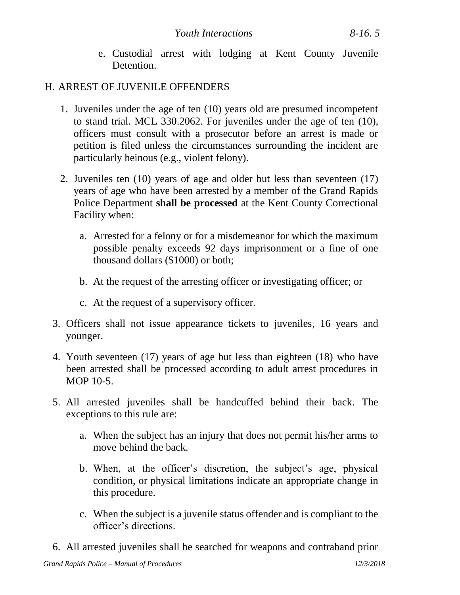e. Custodial arrest with lodging at Kent County Juvenile Detention.

#### H. ARREST OF JUVENILE OFFENDERS

- 1. Juveniles under the age of ten (10) years old are presumed incompetent to stand trial. MCL 330.2062. For juveniles under the age of ten (10), officers must consult with a prosecutor before an arrest is made or petition is filed unless the circumstances surrounding the incident are particularly heinous (e.g., violent felony).
- 2. Juveniles ten (10) years of age and older but less than seventeen (17) years of age who have been arrested by a member of the Grand Rapids Police Department **shall be processed** at the Kent County Correctional Facility when:
	- a. Arrested for a felony or for a misdemeanor for which the maximum possible penalty exceeds 92 days imprisonment or a fine of one thousand dollars (\$1000) or both;
	- b. At the request of the arresting officer or investigating officer; or
	- c. At the request of a supervisory officer.
- 3. Officers shall not issue appearance tickets to juveniles, 16 years and younger.
- 4. Youth seventeen (17) years of age but less than eighteen (18) who have been arrested shall be processed according to adult arrest procedures in MOP 10-5.
- 5. All arrested juveniles shall be handcuffed behind their back. The exceptions to this rule are:
	- a. When the subject has an injury that does not permit his/her arms to move behind the back.
	- b. When, at the officer's discretion, the subject's age, physical condition, or physical limitations indicate an appropriate change in this procedure.
	- c. When the subject is a juvenile status offender and is compliant to the officer's directions.
- 6. All arrested juveniles shall be searched for weapons and contraband prior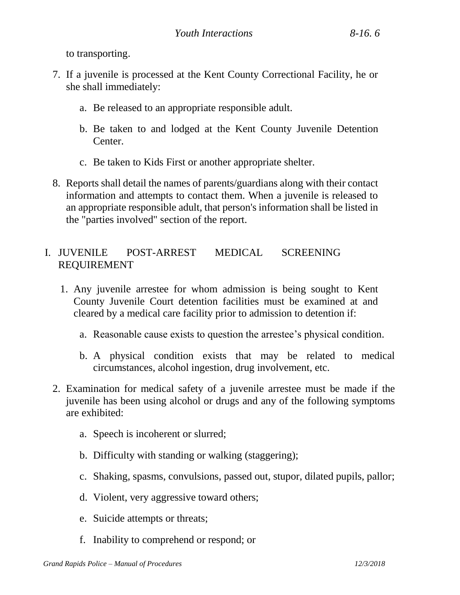to transporting.

- 7. If a juvenile is processed at the Kent County Correctional Facility, he or she shall immediately:
	- a. Be released to an appropriate responsible adult.
	- b. Be taken to and lodged at the Kent County Juvenile Detention Center.
	- c. Be taken to Kids First or another appropriate shelter.
- 8. Reports shall detail the names of parents/guardians along with their contact information and attempts to contact them. When a juvenile is released to an appropriate responsible adult, that person's information shall be listed in the "parties involved" section of the report.

#### I. JUVENILE POST-ARREST MEDICAL SCREENING REQUIREMENT

- 1. Any juvenile arrestee for whom admission is being sought to Kent County Juvenile Court detention facilities must be examined at and cleared by a medical care facility prior to admission to detention if:
	- a. Reasonable cause exists to question the arrestee's physical condition.
	- b. A physical condition exists that may be related to medical circumstances, alcohol ingestion, drug involvement, etc.
- 2. Examination for medical safety of a juvenile arrestee must be made if the juvenile has been using alcohol or drugs and any of the following symptoms are exhibited:
	- a. Speech is incoherent or slurred;
	- b. Difficulty with standing or walking (staggering);
	- c. Shaking, spasms, convulsions, passed out, stupor, dilated pupils, pallor;
	- d. Violent, very aggressive toward others;
	- e. Suicide attempts or threats;
	- f. Inability to comprehend or respond; or